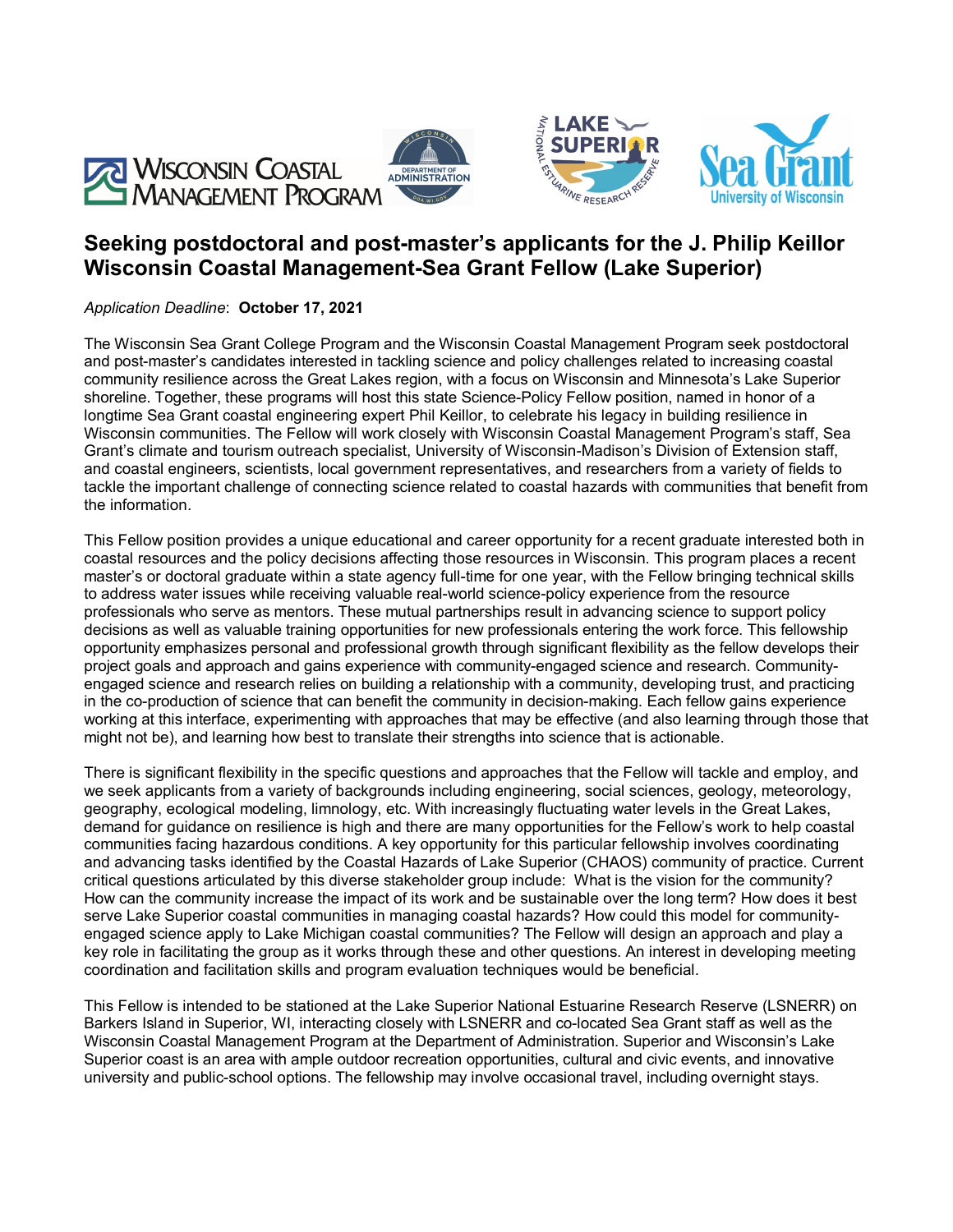





# **Seeking postdoctoral and post-master's applicants for the J. Philip Keillor Wisconsin Coastal Management-Sea Grant Fellow (Lake Superior)**

*Application Deadline*: **October 17, 2021**

The Wisconsin Sea Grant College Program and the Wisconsin Coastal Management Program seek postdoctoral and post-master's candidates interested in tackling science and policy challenges related to increasing coastal community resilience across the Great Lakes region, with a focus on Wisconsin and Minnesota's Lake Superior shoreline. Together, these programs will host this state Science-Policy Fellow position, named in honor of a longtime Sea Grant coastal engineering expert Phil Keillor, to celebrate his legacy in building resilience in Wisconsin communities. The Fellow will work closely with Wisconsin Coastal Management Program's staff, Sea Grant's climate and tourism outreach specialist, University of Wisconsin-Madison's Division of Extension staff, and coastal engineers, scientists, local government representatives, and researchers from a variety of fields to tackle the important challenge of connecting science related to coastal hazards with communities that benefit from the information.

This Fellow position provides a unique educational and career opportunity for a recent graduate interested both in coastal resources and the policy decisions affecting those resources in Wisconsin. This program places a recent master's or doctoral graduate within a state agency full-time for one year, with the Fellow bringing technical skills to address water issues while receiving valuable real-world science-policy experience from the resource professionals who serve as mentors. These mutual partnerships result in advancing science to support policy decisions as well as valuable training opportunities for new professionals entering the work force. This fellowship opportunity emphasizes personal and professional growth through significant flexibility as the fellow develops their project goals and approach and gains experience with community-engaged science and research. Communityengaged science and research relies on building a relationship with a community, developing trust, and practicing in the co-production of science that can benefit the community in decision-making. Each fellow gains experience working at this interface, experimenting with approaches that may be effective (and also learning through those that might not be), and learning how best to translate their strengths into science that is actionable.

There is significant flexibility in the specific questions and approaches that the Fellow will tackle and employ, and we seek applicants from a variety of backgrounds including engineering, social sciences, geology, meteorology, geography, ecological modeling, limnology, etc. With increasingly fluctuating water levels in the Great Lakes, demand for guidance on resilience is high and there are many opportunities for the Fellow's work to help coastal communities facing hazardous conditions. A key opportunity for this particular fellowship involves coordinating and advancing tasks identified by the Coastal Hazards of Lake Superior (CHAOS) community of practice. Current critical questions articulated by this diverse stakeholder group include: What is the vision for the community? How can the community increase the impact of its work and be sustainable over the long term? How does it best serve Lake Superior coastal communities in managing coastal hazards? How could this model for communityengaged science apply to Lake Michigan coastal communities? The Fellow will design an approach and play a key role in facilitating the group as it works through these and other questions. An interest in developing meeting coordination and facilitation skills and program evaluation techniques would be beneficial.

This Fellow is intended to be stationed at the Lake Superior National Estuarine Research Reserve (LSNERR) on Barkers Island in Superior, WI, interacting closely with LSNERR and co-located Sea Grant staff as well as the Wisconsin Coastal Management Program at the Department of Administration. Superior and Wisconsin's Lake Superior coast is an area with ample outdoor recreation opportunities, cultural and civic events, and innovative university and public-school options. The fellowship may involve occasional travel, including overnight stays.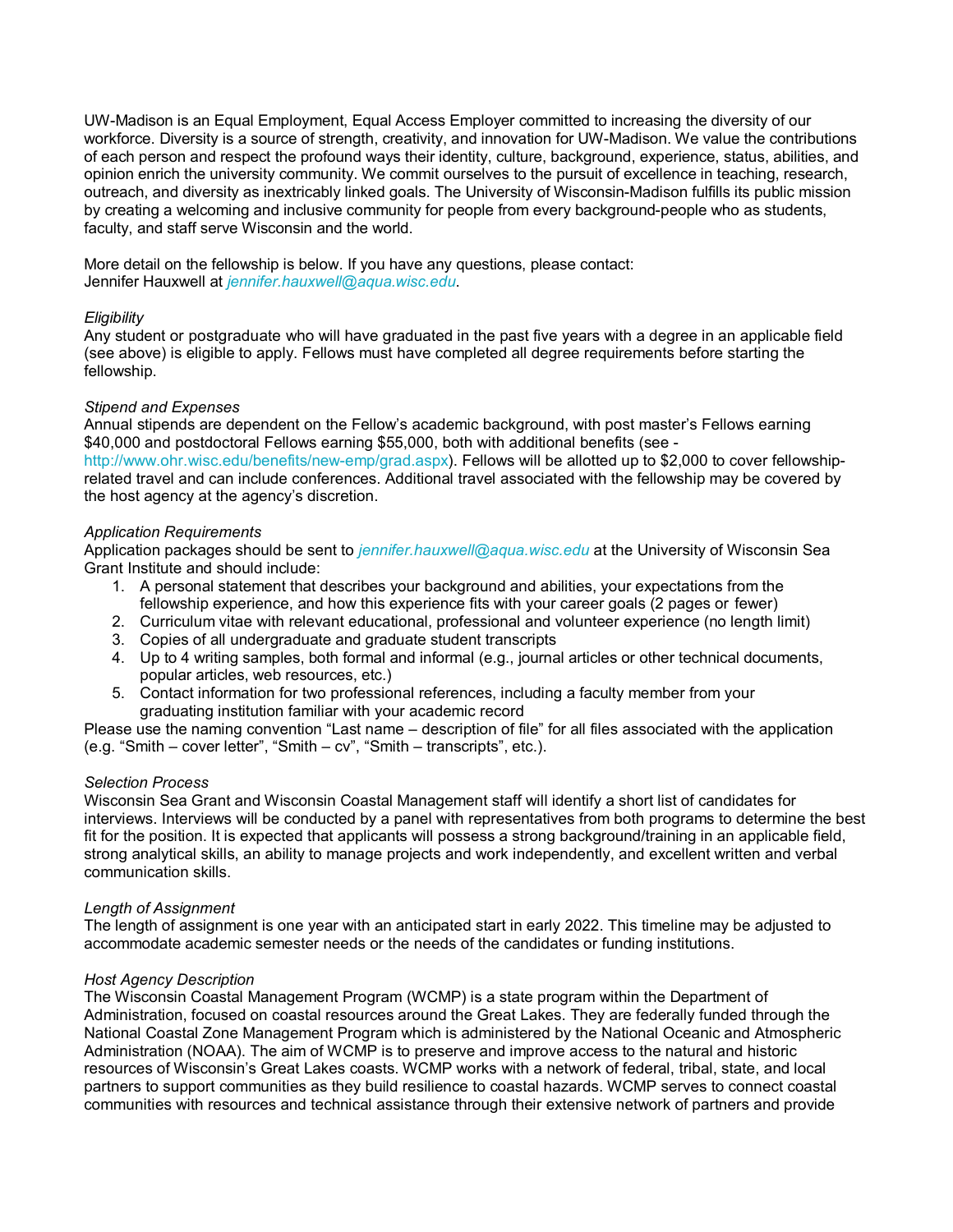UW-Madison is an Equal Employment, Equal Access Employer committed to increasing the diversity of our workforce. Diversity is a source of strength, creativity, and innovation for UW-Madison. We value the contributions of each person and respect the profound ways their identity, culture, background, experience, status, abilities, and opinion enrich the university community. We commit ourselves to the pursuit of excellence in teaching, research, outreach, and diversity as inextricably linked goals. The University of Wisconsin-Madison fulfills its public mission by creating a welcoming and inclusive community for people from every background-people who as students, faculty, and staff serve Wisconsin and the world.

More detail on the fellowship is below. If you have any questions, please contact: Jennifer Hauxwell at *[jennifer.hauxwell@aqua.wisc.edu](mailto:jennifer.hauxwell@aqua.wisc.edu)*.

## *Eligibility*

Any student or postgraduate who will have graduated in the past five years with a degree in an applicable field (see above) is eligible to apply. Fellows must have completed all degree requirements before starting the fellowship.

## *Stipend and Expenses*

Annual stipends are dependent on the Fellow's academic background, with post master's Fellows earning \$40,000 and postdoctoral Fellows earning \$55,000, both with additional benefits (see [http://www.ohr.wisc.edu/benefits/new-emp/grad.aspx\)](http://www.ohr.wisc.edu/benefits/new-emp/grad.aspx). Fellows will be allotted up to \$2,000 to cover fellowshiprelated travel and can include conferences. Additional travel associated with the fellowship may be covered by the host agency at the agency's discretion.

## *Application Requirements*

Application packages should be sent to *[jennifer.hauxwell@aqua.wisc.edu](mailto:jennifer.hauxwell@aqua.wisc.edu)* at the University of Wisconsin Sea Grant Institute and should include:

- 1. A personal statement that describes your background and abilities, your expectations from the fellowship experience, and how this experience fits with your career goals (2 pages or fewer)
- 2. Curriculum vitae with relevant educational, professional and volunteer experience (no length limit)
- 3. Copies of all undergraduate and graduate student transcripts
- 4. Up to 4 writing samples, both formal and informal (e.g., journal articles or other technical documents, popular articles, web resources, etc.)
- 5. Contact information for two professional references, including a faculty member from your graduating institution familiar with your academic record

Please use the naming convention "Last name – description of file" for all files associated with the application (e.g. "Smith – cover letter", "Smith – cv", "Smith – transcripts", etc.).

## *Selection Process*

Wisconsin Sea Grant and Wisconsin Coastal Management staff will identify a short list of candidates for interviews. Interviews will be conducted by a panel with representatives from both programs to determine the best fit for the position. It is expected that applicants will possess a strong background/training in an applicable field, strong analytical skills, an ability to manage projects and work independently, and excellent written and verbal communication skills.

## *Length of Assignment*

The length of assignment is one year with an anticipated start in early 2022. This timeline may be adjusted to accommodate academic semester needs or the needs of the candidates or funding institutions.

## *Host Agency Description*

The Wisconsin Coastal Management Program (WCMP) is a state program within the Department of Administration, focused on coastal resources around the Great Lakes. They are federally funded through the National Coastal Zone Management Program which is administered by the National Oceanic and Atmospheric Administration (NOAA). The aim of WCMP is to preserve and improve access to the natural and historic resources of Wisconsin's Great Lakes coasts. WCMP works with a network of federal, tribal, state, and local partners to support communities as they build resilience to coastal hazards. WCMP serves to connect coastal communities with resources and technical assistance through their extensive network of partners and provide